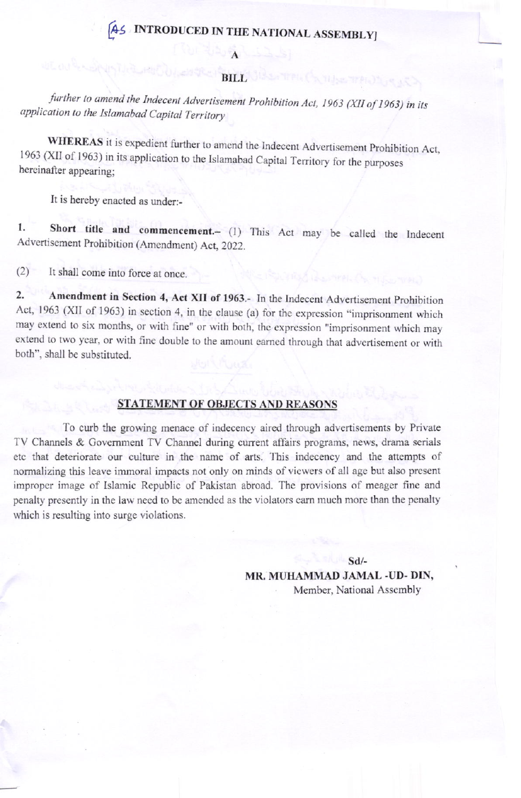## [A5 INTRODUCED IN THE NATIONAL ASSEMBLY]

## de au de companya l'estat de la companya de la companya de la companya de la companya de la companya de la com

further to amend the Indecent Advertisement Prohibition Act, 1963 (XII of 1963) in its application to the Islamabad Capital Territory

WHEREAS it is expedient further to amend the Indecent Advertisement Prohibition Act, 1963 (XII of 1963) in its application to the Islamabad Capital Territory for the purposes hereinafter appearing;

It is hereby enacted as under:-

1. Short title and commencement.- (1) This Act may be called the Indece Advertisement Prohibition (Amendment) Act, 2022.

 $(2)$  It shall come into force at once.

2. Amendment in Section 4, Act XII of 1963.- In the Indecent Advertisement Prohibition Act, 1963 (XII of 1963) in section 4, in the clause (a) for the expression "imprisonment which may extend to six months, or with fine" or with both, the expression "imprisonment which may extend to two year, or with fine double to the amount earned through that advertisement or with both", shall be subsrituted.

## STATEMENT OF OBJECTS AND REASONS

To curb the growing menace of indecency aired through advertisements by Private TV Channels & Government TV Channel during current affairs programs, news, drama serials etc that deteriorate our culture in the name of arts. This indecency and the attempts of normalizing this leave immoral impacts not only on minds of viewers of all age but also present improper image of Islamic Republic of Pakistan abroad. The provisions of meager fine and penalty presently in the law need to be amended as the violators earn much more than the penalty which is resulting into surge violations.

sd/-

MR. MUHAMMAD JAMAL -UD- DIN, Member, National Assembly